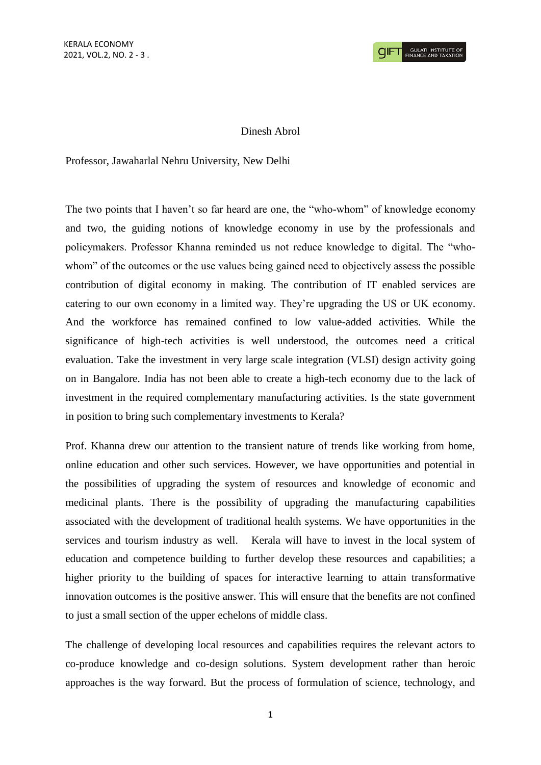## Dinesh Abrol

Professor, Jawaharlal Nehru University, New Delhi

The two points that I haven't so far heard are one, the "who-whom" of knowledge economy and two, the guiding notions of knowledge economy in use by the professionals and policymakers. Professor Khanna reminded us not reduce knowledge to digital. The "whowhom" of the outcomes or the use values being gained need to objectively assess the possible contribution of digital economy in making. The contribution of IT enabled services are catering to our own economy in a limited way. They're upgrading the US or UK economy. And the workforce has remained confined to low value-added activities. While the significance of high-tech activities is well understood, the outcomes need a critical evaluation. Take the investment in very large scale integration (VLSI) design activity going on in Bangalore. India has not been able to create a high-tech economy due to the lack of investment in the required complementary manufacturing activities. Is the state government in position to bring such complementary investments to Kerala?

Prof. Khanna drew our attention to the transient nature of trends like working from home, online education and other such services. However, we have opportunities and potential in the possibilities of upgrading the system of resources and knowledge of economic and medicinal plants. There is the possibility of upgrading the manufacturing capabilities associated with the development of traditional health systems. We have opportunities in the services and tourism industry as well. Kerala will have to invest in the local system of education and competence building to further develop these resources and capabilities; a higher priority to the building of spaces for interactive learning to attain transformative innovation outcomes is the positive answer. This will ensure that the benefits are not confined to just a small section of the upper echelons of middle class.

The challenge of developing local resources and capabilities requires the relevant actors to co-produce knowledge and co-design solutions. System development rather than heroic approaches is the way forward. But the process of formulation of science, technology, and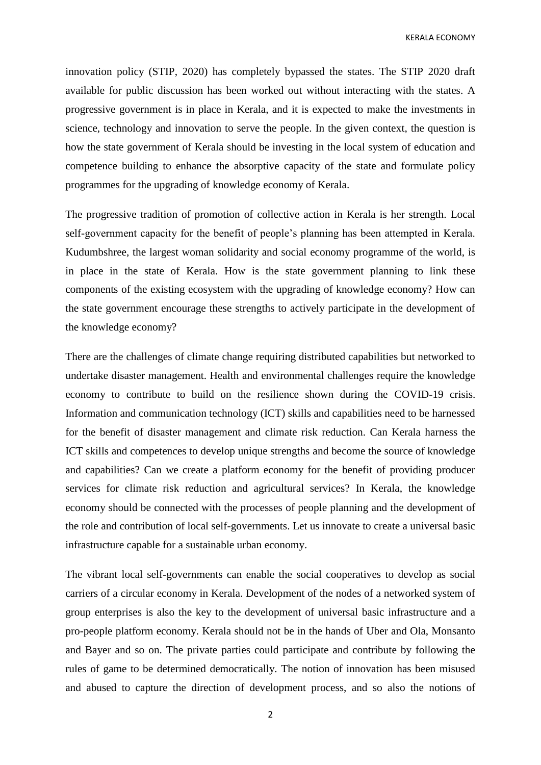KERALA ECONOMY

innovation policy (STIP, 2020) has completely bypassed the states. The STIP 2020 draft available for public discussion has been worked out without interacting with the states. A progressive government is in place in Kerala, and it is expected to make the investments in science, technology and innovation to serve the people. In the given context, the question is how the state government of Kerala should be investing in the local system of education and competence building to enhance the absorptive capacity of the state and formulate policy programmes for the upgrading of knowledge economy of Kerala.

The progressive tradition of promotion of collective action in Kerala is her strength. Local self-government capacity for the benefit of people's planning has been attempted in Kerala. Kudumbshree, the largest woman solidarity and social economy programme of the world, is in place in the state of Kerala. How is the state government planning to link these components of the existing ecosystem with the upgrading of knowledge economy? How can the state government encourage these strengths to actively participate in the development of the knowledge economy?

There are the challenges of climate change requiring distributed capabilities but networked to undertake disaster management. Health and environmental challenges require the knowledge economy to contribute to build on the resilience shown during the COVID-19 crisis. Information and communication technology (ICT) skills and capabilities need to be harnessed for the benefit of disaster management and climate risk reduction. Can Kerala harness the ICT skills and competences to develop unique strengths and become the source of knowledge and capabilities? Can we create a platform economy for the benefit of providing producer services for climate risk reduction and agricultural services? In Kerala, the knowledge economy should be connected with the processes of people planning and the development of the role and contribution of local self-governments. Let us innovate to create a universal basic infrastructure capable for a sustainable urban economy.

The vibrant local self-governments can enable the social cooperatives to develop as social carriers of a circular economy in Kerala. Development of the nodes of a networked system of group enterprises is also the key to the development of universal basic infrastructure and a pro-people platform economy. Kerala should not be in the hands of Uber and Ola, Monsanto and Bayer and so on. The private parties could participate and contribute by following the rules of game to be determined democratically. The notion of innovation has been misused and abused to capture the direction of development process, and so also the notions of

2